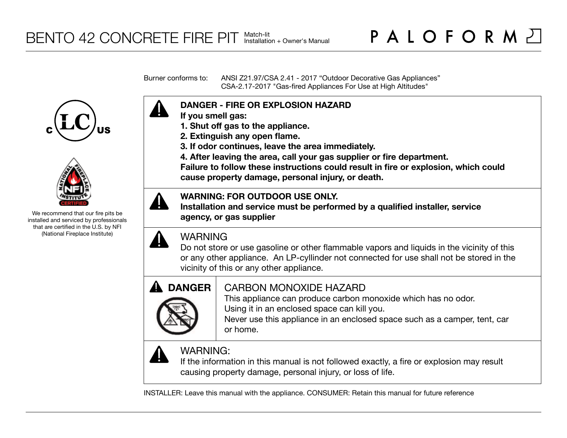Burner conforms to: ANSI Z21.97/CSA 2.41 - 2017 "Outdoor Decorative Gas Appliances" CSA-2.17-2017 "Gas-fired Appliances For Use at High Altitudes"





We recommend that our fire pits be installed and serviced by professionals that are certified in the U.S. by NFI (National Fireplace Institute)



- **If you smell gas:**
- **1. Shut off gas to the appliance.**
- **2. Extinguish any open flame.**
- **3. If odor continues, leave the area immediately.**
- **4. After leaving the area, call your gas supplier or fire department.**

**Failure to follow these instructions could result in fire or explosion, which could cause property damage, personal injury, or death.**

## **WARNING: FOR OUTDOOR USE ONLY.**

**Installation and service must be performed by a qualified installer, service agency, or gas supplier**



# WARNING

Do not store or use gasoline or other flammable vapors and liquids in the vicinity of this or any other appliance. An LP-cyllinder not connected for use shall not be stored in the vicinity of this or any other appliance.



# CARBON MONOXIDE HAZARD

This appliance can produce carbon monoxide which has no odor. Using it in an enclosed space can kill you.

Never use this appliance in an enclosed space such as a camper, tent, car or home.



# WARNING:

If the information in this manual is not followed exactly, a fire or explosion may result causing property damage, personal injury, or loss of life.

INSTALLER: Leave this manual with the appliance. CONSUMER: Retain this manual for future reference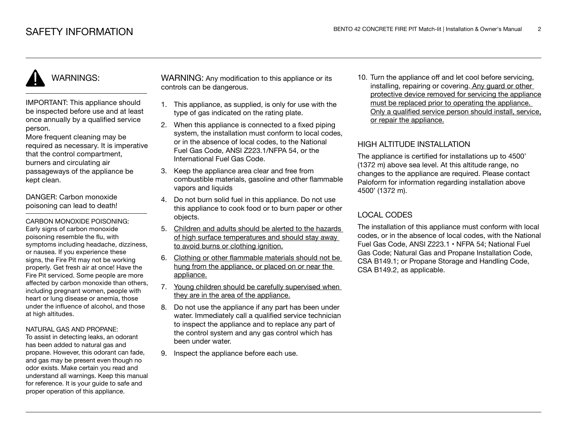# WARNINGS:

IMPORTANT: This appliance should be inspected before use and at least once annually by a qualified service person.

More frequent cleaning may be required as necessary. It is imperative that the control compartment, burners and circulating air passageways of the appliance be kept clean.

DANGER: Carbon monoxide poisoning can lead to death!

CARBON MONOXIDE POISONING: Early signs of carbon monoxide poisoning resemble the flu, with symptoms including headache, dizziness, or nausea. If you experience these signs, the Fire Pit may not be working properly. Get fresh air at once! Have the Fire Pit serviced. Some people are more affected by carbon monoxide than others, including pregnant women, people with heart or lung disease or anemia, those under the influence of alcohol, and those at high altitudes.

#### NATURAL GAS AND PROPANE:

To assist in detecting leaks, an odorant has been added to natural gas and propane. However, this odorant can fade, and gas may be present even though no odor exists. Make certain you read and understand all warnings. Keep this manual for reference. It is your guide to safe and proper operation of this appliance.

WARNING: Any modification to this appliance or its controls can be dangerous.

- 1. This appliance, as supplied, is only for use with the type of gas indicated on the rating plate.
- 2. When this appliance is connected to a fixed piping system, the installation must conform to local codes. or in the absence of local codes, to the National Fuel Gas Code, ANSI Z223.1/NFPA 54, or the International Fuel Gas Code.
- 3. Keep the appliance area clear and free from combustible materials, gasoline and other flammable vapors and liquids
- 4. Do not burn solid fuel in this appliance. Do not use this appliance to cook food or to burn paper or other objects.
- 5. Children and adults should be alerted to the hazards of high surface temperatures and should stay away to avoid burns or clothing ignition.
- 6. Clothing or other flammable materials should not be hung from the appliance, or placed on or near the appliance.
- 7. Young children should be carefully supervised when they are in the area of the appliance.
- 8. Do not use the appliance if any part has been under water. Immediately call a qualified service technician to inspect the appliance and to replace any part of the control system and any gas control which has been under water.
- 9. Inspect the appliance before each use.

10. Turn the appliance off and let cool before servicing, installing, repairing or covering. Any guard or other protective device removed for servicing the appliance must be replaced prior to operating the appliance. Only a qualified service person should install, service, or repair the appliance.

## HIGH ALTITUDE INSTALLATION

The appliance is certified for installations up to 4500' (1372 m) above sea level. At this altitude range, no changes to the appliance are required. Please contact Paloform for information regarding installation above 4500' (1372 m).

## LOCAL CODES

The installation of this appliance must conform with local codes, or in the absence of local codes, with the National Fuel Gas Code, ANSI Z223.1 • NFPA 54; National Fuel Gas Code; Natural Gas and Propane Installation Code, CSA B149.1; or Propane Storage and Handling Code, CSA B149.2, as applicable.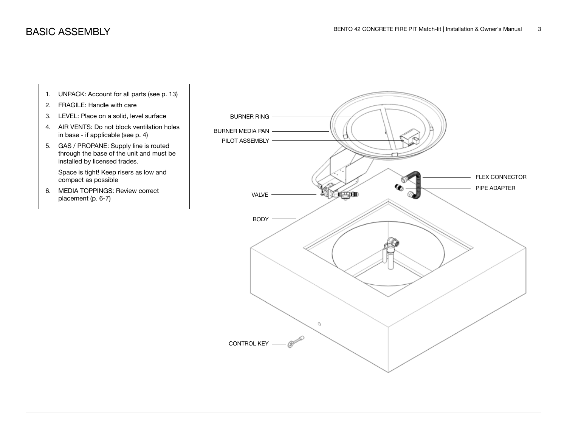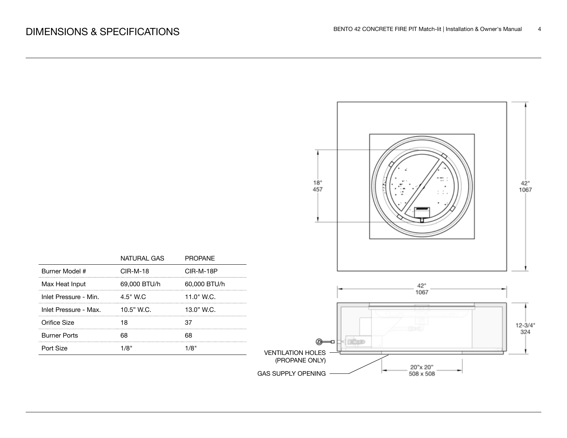

|                       | NATURAL GAS  | PROPANE      |
|-----------------------|--------------|--------------|
| Burner Model #        | $CIR-M-18$   | CIR-M-18P    |
| Max Heat Input        | 69,000 BTU/h | 60,000 BTU/h |
| Inlet Pressure - Min. | $4.5"$ W.C.  | 11.0" W.C.   |
| Inlet Pressure - Max. | $10.5"$ W.C. | 13.0" W.C.   |
| Orifice Size          |              | 37           |
| <b>Burner Ports</b>   |              |              |
| Port Size             | /8"          | '8           |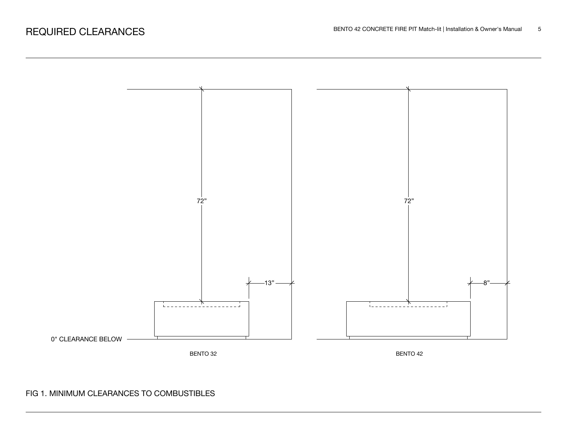

## FIG 1. MINIMUM CLEARANCES TO COMBUSTIBLES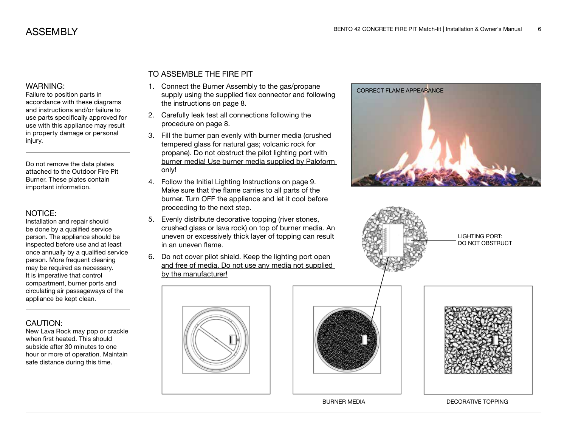#### WARNING:

Failure to position parts in accordance with these diagrams and instructions and/or failure to use parts specifically approved for use with this appliance may result in property damage or personal injury.

Do not remove the data plates attached to the Outdoor Fire Pit Burner. These plates contain important information.

#### NOTICE:

Installation and repair should be done by a qualified service person. The appliance should be inspected before use and at least once annually by a qualified service person. More frequent cleaning may be required as necessary. It is imperative that control compartment, burner ports and circulating air passageways of the appliance be kept clean.

## CAUTION:

New Lava Rock may pop or crackle when first heated. This should subside after 30 minutes to one hour or more of operation. Maintain safe distance during this time.

## TO ASSEMBLE THE FIRE PIT

- 1. Connect the Burner Assembly to the gas/propane supply using the supplied flex connector and following the instructions on page 8.
- 2. Carefully leak test all connections following the procedure on page 8.
- 3. Fill the burner pan evenly with burner media (crushed tempered glass for natural gas; volcanic rock for propane). Do not obstruct the pilot lighting port with burner media! Use burner media supplied by Paloform only!
- 4. Follow the Initial Lighting Instructions on page 9. Make sure that the flame carries to all parts of the burner. Turn OFF the appliance and let it cool before proceeding to the next step.
- 5. Evenly distribute decorative topping (river stones, crushed glass or lava rock) on top of burner media. An uneven or excessively thick layer of topping can result in an uneven flame.
- 6. Do not cover pilot shield. Keep the lighting port open and free of media. Do not use any media not supplied by the manufacturer!







BURNER MEDIA DECORATIVE TOPPING





LIGHTING PORT: DO NOT OBSTRUCT

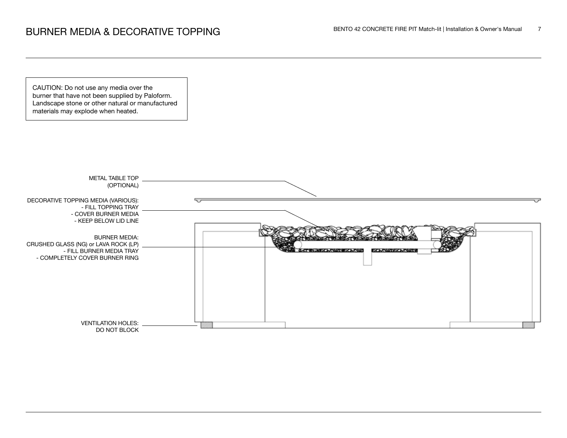CAUTION: Do not use any media over the burner that have not been supplied by Paloform. Landscape stone or other natural or manufactured materials may explode when heated.

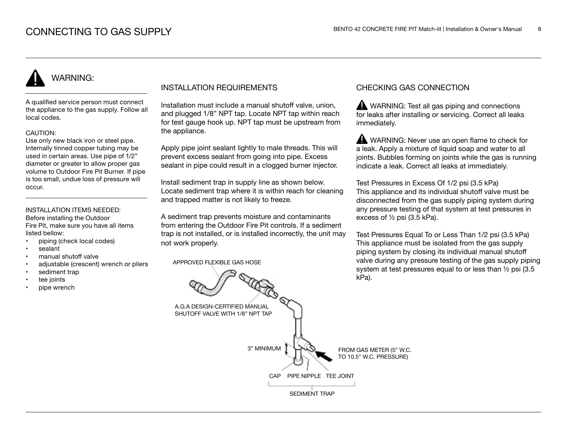# WARNING:

A qualified service person must connect the appliance to the gas supply. Follow all local codes.

#### CAUTION:

Use only new black iron or steel pipe. Internally tinned copper tubing may be used in certain areas. Use pipe of 1/2" diameter or greater to allow proper gas volume to Outdoor Fire Pit Burner. If pipe is too small, undue loss of pressure will occur.

### INSTALLATION ITEMS NEEDED:

Before installing the Outdoor Fire Pit, make sure you have all items listed bellow:

- piping (check local codes)
- sealant
- manual shutoff valve
- adjustable (crescent) wrench or pliers
- sediment trap
- tee joints
- pipe wrench

## INSTALLATION REQUIREMENTS

Installation must include a manual shutoff valve, union, and plugged 1/8" NPT tap. Locate NPT tap within reach for test gauge hook up. NPT tap must be upstream from the appliance.

Apply pipe joint sealant lightly to male threads. This will prevent excess sealant from going into pipe. Excess sealant in pipe could result in a clogged burner injector.

Install sediment trap in supply line as shown below. Locate sediment trap where it is within reach for cleaning and trapped matter is not likely to freeze.

A sediment trap prevents moisture and contaminants from entering the Outdoor Fire Pit controls. If a sediment trap is not installed, or is installed incorrectly, the unit may not work properly.

APPROVED FLEXIBLE GAS HOSE

## CHECKING GAS CONNECTION

WARNING: Test all gas piping and connections for leaks after installing or servicing. Correct all leaks immediately.

WARNING: Never use an open flame to check for a leak. Apply a mixture of liquid soap and water to all joints. Bubbles forming on joints while the gas is running indicate a leak. Correct all leaks at immediately.

Test Pressures in Excess Of 1/2 psi (3.5 kPa) This appliance and its individual shutoff valve must be disconnected from the gas supply piping system during any pressure testing of that system at test pressures in excess of ½ psi (3.5 kPa).

Test Pressures Equal To or Less Than 1/2 psi (3.5 kPa) This appliance must be isolated from the gas supply piping system by closing its individual manual shutoff valve during any pressure testing of the gas supply piping system at test pressures equal to or less than ½ psi (3.5 kPa).

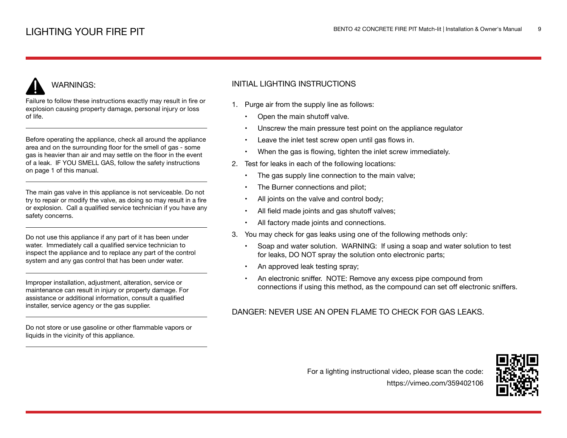# WARNINGS:

Failure to follow these instructions exactly may result in fire or explosion causing property damage, personal injury or loss of life.

Before operating the appliance, check all around the appliance area and on the surrounding floor for the smell of gas - some gas is heavier than air and may settle on the floor in the event of a leak. IF YOU SMELL GAS, follow the safety instructions on page 1 of this manual.

The main gas valve in this appliance is not serviceable. Do not try to repair or modify the valve, as doing so may result in a fire or explosion. Call a qualified service technician if you have any safety concerns.

Do not use this appliance if any part of it has been under water. Immediately call a qualified service technician to inspect the appliance and to replace any part of the control system and any gas control that has been under water.

Improper installation, adjustment, alteration, service or maintenance can result in injury or property damage. For assistance or additional information, consult a qualified installer, service agency or the gas supplier.

Do not store or use gasoline or other flammable vapors or liquids in the vicinity of this appliance.

## INITIAL LIGHTING INSTRUCTIONS

- 1. Purge air from the supply line as follows:
	- Open the main shutoff valve.
	- Unscrew the main pressure test point on the appliance regulator
	- Leave the inlet test screw open until gas flows in.
	- When the gas is flowing, tighten the inlet screw immediately.
- 2. Test for leaks in each of the following locations:
	- The gas supply line connection to the main valve;
	- The Burner connections and pilot;
	- All joints on the valve and control body;
	- All field made joints and gas shutoff valves;
	- All factory made joints and connections.
- 3. You may check for gas leaks using one of the following methods only:
	- Soap and water solution. WARNING: If using a soap and water solution to test for leaks, DO NOT spray the solution onto electronic parts;
	- An approved leak testing spray;
	- An electronic sniffer. NOTE: Remove any excess pipe compound from connections if using this method, as the compound can set off electronic sniffers.

## DANGER: NEVER USE AN OPEN FLAME TO CHECK FOR GAS LEAKS.



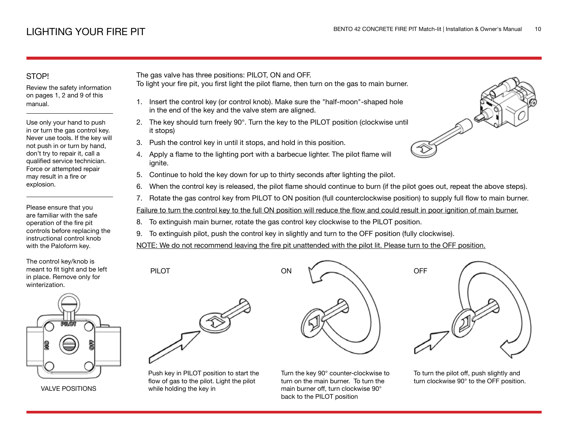## STOP!

Review the safety information on pages 1, 2 and 9 of this manual.

Use only your hand to push in or turn the gas control key. Never use tools. If the key will not push in or turn by hand, don't try to repair it, call a qualified service technician. Force or attempted repair may result in a fire or explosion.

Please ensure that you are familiar with the safe operation of the fire pit controls before replacing the instructional control knob with the Paloform key.

The control key/knob is meant to fit tight and be left in place. Remove only for winterization.



VALVE POSITIONS

The gas valve has three positions: PILOT, ON and OFF.

- To light your fire pit, you first light the pilot flame, then turn on the gas to main burner.
	- 1. Insert the control key (or control knob). Make sure the "half-moon"-shaped hole in the end of the key and the valve stem are aligned.
- 2. The key should turn freely 90°. Turn the key to the PILOT position (clockwise until it stops)
- 3. Push the control key in until it stops, and hold in this position.
- 4. Apply a flame to the lighting port with a barbecue lighter. The pilot flame will ignite.
- 5. Continue to hold the key down for up to thirty seconds after lighting the pilot.
- 6. When the control key is released, the pilot flame should continue to burn (if the pilot goes out, repeat the above steps).
- 7. Rotate the gas control key from PILOT to ON position (full counterclockwise position) to supply full flow to main burner.

Failure to turn the control key to the full ON position will reduce the flow and could result in poor ignition of main burner.

- 8. To extinguish main burner, rotate the gas control key clockwise to the PILOT position.
- 9. To extinguish pilot, push the control key in slightly and turn to the OFF position (fully clockwise).

ON

NOTE: We do not recommend leaving the fire pit unattended with the pilot lit. Please turn to the OFF position.



PILOT

Push key in PILOT position to start the flow of gas to the pilot. Light the pilot while holding the key in

Turn the key 90° counter-clockwise to turn on the main burner. To turn the main burner off, turn clockwise 90° back to the PILOT position



To turn the pilot off, push slightly and turn clockwise 90° to the OFF position.

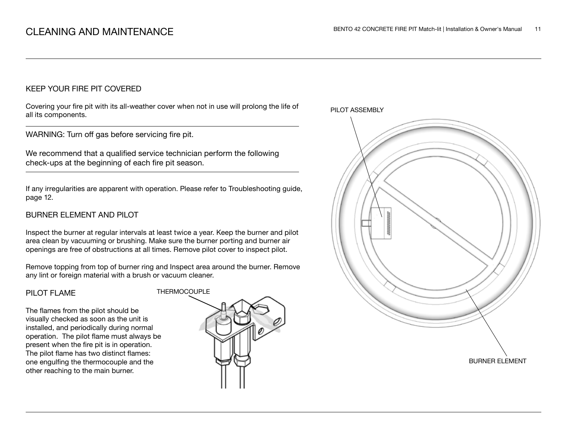## KEEP YOUR FIRE PIT COVERED

Covering your fire pit with its all-weather cover when not in use will prolong the life of all its components.

WARNING: Turn off gas before servicing fire pit.

We recommend that a qualified service technician perform the following check-ups at the beginning of each fire pit season.

If any irregularities are apparent with operation. Please refer to Troubleshooting guide, page 12.

## BURNER ELEMENT AND PILOT

Inspect the burner at regular intervals at least twice a year. Keep the burner and pilot area clean by vacuuming or brushing. Make sure the burner porting and burner air openings are free of obstructions at all times. Remove pilot cover to inspect pilot.

Remove topping from top of burner ring and Inspect area around the burner. Remove any lint or foreign material with a brush or vacuum cleaner.

#### PILOT FLAME

The flames from the pilot should be visually checked as soon as the unit is installed, and periodically during normal operation. The pilot flame must always be present when the fire pit is in operation. The pilot flame has two distinct flames: one engulfing the thermocouple and the other reaching to the main burner.



PILOT ASSEMBLY

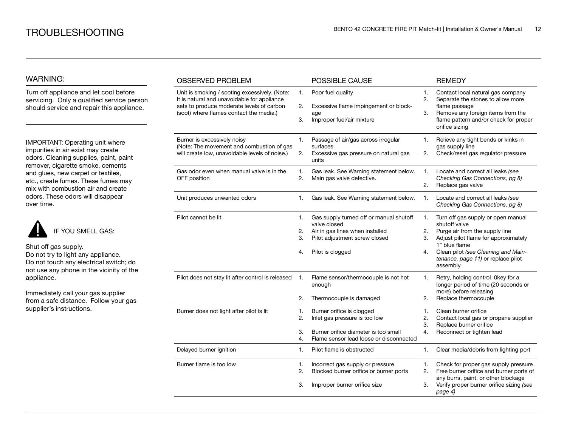## WARNING:

Turn off appliance and let cool before servicing. Only a qualified service person should service and repair this appliance.

IMPORTANT: Operating unit where impurities in air exist may create odors. Cleaning supplies, paint, paint remover, cigarette smoke, cements and glues, new carpet or textiles, etc., create fumes. These fumes may mix with combustion air and create odors. These odors will disappear over time.



Shut off gas supply. Do not try to light any appliance.

Do not touch any electrical switch; do not use any phone in the vicinity of the appliance.

Immediately call your gas supplier from a safe distance. Follow your gas supplier's instructions.

|                      | POSSIBLE CAUSE                                                                                                                                  |                      | <b>REMEDY</b>                                                                                                                                                                                                                           |
|----------------------|-------------------------------------------------------------------------------------------------------------------------------------------------|----------------------|-----------------------------------------------------------------------------------------------------------------------------------------------------------------------------------------------------------------------------------------|
| 1.<br>2.<br>3.       | Poor fuel quality<br>Excessive flame impingement or block-<br>age<br>Improper fuel/air mixture                                                  | 1.<br>2.<br>3.       | Contact local natural gas company<br>Separate the stones to allow more<br>flame passage<br>Remove any foreign items from the<br>flame pattern and/or check for proper<br>orifice sizing                                                 |
| 1.<br>2.             | Passage of air/gas across irregular<br>surfaces<br>Excessive gas pressure on natural gas<br>units                                               | 1.<br>2.             | Relieve any tight bends or kinks in<br>gas supply line<br>Check/reset gas regulator pressure                                                                                                                                            |
| 1.<br>2.             | Gas leak. See Warning statement below.<br>Main gas valve defective.                                                                             | 1.<br>2.             | Locate and correct all leaks (see<br>Checking Gas Connections, pg 8)<br>Replace gas valve                                                                                                                                               |
| 1.                   | Gas leak. See Warning statement below.                                                                                                          | 1.                   | Locate and correct all leaks (see<br>Checking Gas Connections, pg 8)                                                                                                                                                                    |
| 1.<br>2.<br>3.<br>4. | Gas supply turned off or manual shutoff<br>valve closed<br>Air in gas lines when installed<br>Pilot adjustment screw closed<br>Pilot is clogged | 1.<br>2.<br>3.<br>4. | Turn off gas supply or open manual<br>shutoff valve<br>Purge air from the supply line<br>Adjust pilot flame for approximately<br>1" blue flame<br>Clean pilot (see Cleaning and Main-<br>tenance, page 11) or replace pilot<br>assembly |
| 1.<br>2.             | Flame sensor/thermocouple is not hot<br>enough<br>Thermocouple is damaged                                                                       | 1.<br>2.             | Retry, holding control 0key for a<br>longer period of time (20 seconds or<br>more) before releasing<br>Replace thermocouple                                                                                                             |
| 1.<br>2.<br>3.<br>4. | Burner orifice is clogged<br>Inlet gas pressure is too low<br>Burner orifice diameter is too small<br>Flame sensor lead loose or disconnected   | 1.<br>2.<br>3.<br>4. | Clean burner orifice<br>Contact local gas or propane supplier<br>Replace burner orifice<br>Reconnect or tighten lead                                                                                                                    |
| 1.                   | Pilot flame is obstructed                                                                                                                       | 1.                   | Clear media/debris from lighting port                                                                                                                                                                                                   |
| 1.<br>2.             | Incorrect gas supply or pressure<br>Blocked burner orifice or burner ports                                                                      | 1.<br>2.             | Check for proper gas supply pressure<br>Free burner orifice and burner ports of<br>any burrs, paint, or other blockage<br>Verify proper burner orifice sizing (see                                                                      |
|                      | (Note: The movement and combustion of gas<br>Pilot does not stay lit after control is released                                                  |                      | 3.<br>Improper burner orifice size<br>3.                                                                                                                                                                                                |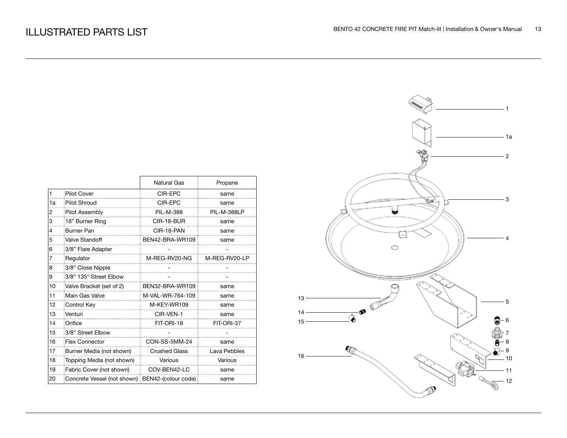|              |                                                   | Natural Gas          | Propane            |
|--------------|---------------------------------------------------|----------------------|--------------------|
| $\mathbf{1}$ | <b>Pilot Cover</b>                                | CIR-EPC              | same               |
| 1a           | <b>Pilot Shroud</b>                               | CIR-EPC              | same               |
| 2            | Pilot Assembly                                    | PIL-M-388            | <b>PIL-M-388LP</b> |
| 3            | 18" Burner Ring                                   | CIR-18-BUR           | same               |
| 4            | Burner Pan                                        | CIR-18-PAN           | same               |
| 5            | <b>Valve Standoff</b>                             | BFN42-BRA-WR109      | same               |
| 6            | 3/8" Flare Adapter                                |                      |                    |
| 7            | Regulator                                         | M-REG-RV20-NG        | M-REG-RV20-LP      |
| 8            | 3/8" Close Nipple                                 |                      |                    |
| 9            | 3/8" 135° Street Elbow                            |                      |                    |
| 10           | Valve Bracket (set of 2)                          | BEN32-BRA-WR109      | same               |
| 11           | Main Gas Valve                                    | M-VAL-WR-764-109     | same               |
| 12           | Control Key                                       | M-KEY-WR109          | same               |
| 13           | Venturi                                           | CIR-VEN-1            | same               |
| 14           | Orifice                                           | FIT-ORI-18           | FIT-ORI-37         |
| 15           | 3/8" Street Elbow                                 |                      |                    |
| 16           | <b>Flex Connector</b>                             | CON-SS-5MM-24        | same               |
| 17           | Burner Media (not shown)                          | <b>Crushed Glass</b> | Lava Pebbles       |
| 18           | Topping Media (not shown)                         | Various              | Various            |
| 19           | Fabric Cover (not shown)                          | COV-BEN42-LC         | same               |
| 20           | Concrete Vessel (not shown)   BEN42-(colour code) |                      | same               |